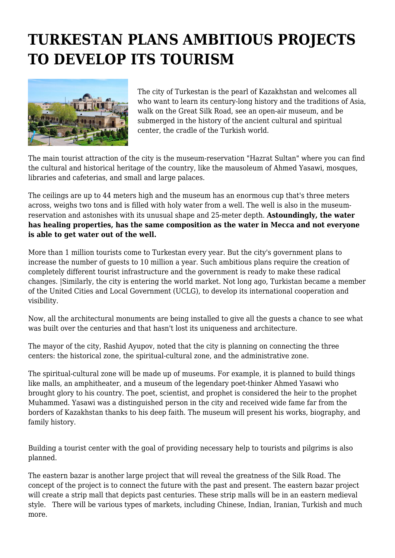## **TURKESTAN PLANS AMBITIOUS PROJECTS TO DEVELOP ITS TOURISM**



The city of Turkestan is the pearl of Kazakhstan and welcomes all who want to learn its century-long history and the traditions of Asia, walk on the Great Silk Road, see an open-air museum, and be submerged in the history of the ancient cultural and spiritual center, the cradle of the Turkish world.

The main tourist attraction of the city is the museum-reservation "Hazrat Sultan" where you can find the cultural and historical heritage of the country, like the mausoleum of Ahmed Yasawi, mosques, libraries and cafeterias, and small and large palaces.

The ceilings are up to 44 meters high and the museum has an enormous cup that's three meters across, weighs two tons and is filled with holy water from a well. The well is also in the museumreservation and astonishes with its unusual shape and 25-meter depth. **Astoundingly, the water has healing properties, has the same composition as the water in Mecca and not everyone is able to get water out of the well.**

More than 1 million tourists come to Turkestan every year. But the city's government plans to increase the number of guests to 10 million a year. Such ambitious plans require the creation of completely different tourist infrastructure and the government is ready to make these radical changes. |Similarly, the city is entering the world market. Not long ago, Turkistan became a member of the United Cities and Local Government (UCLG), to develop its international cooperation and visibility.

Now, all the architectural monuments are being installed to give all the guests a chance to see what was built over the centuries and that hasn't lost its uniqueness and architecture.

The mayor of the city, Rashid Ayupov, noted that the city is planning on connecting the three centers: the historical zone, the spiritual-cultural zone, and the administrative zone.

The spiritual-cultural zone will be made up of museums. For example, it is planned to build things like malls, an amphitheater, and a museum of the legendary poet-thinker Ahmed Yasawi who brought glory to his country. The poet, scientist, and prophet is considered the heir to the prophet Muhammed. Yasawi was a distinguished person in the city and received wide fame far from the borders of Kazakhstan thanks to his deep faith. The museum will present his works, biography, and family history.

Building a tourist center with the goal of providing necessary help to tourists and pilgrims is also planned.

The eastern bazar is another large project that will reveal the greatness of the Silk Road. The concept of the project is to connect the future with the past and present. The eastern bazar project will create a strip mall that depicts past centuries. These strip malls will be in an eastern medieval style. There will be various types of markets, including Chinese, Indian, Iranian, Turkish and much more.